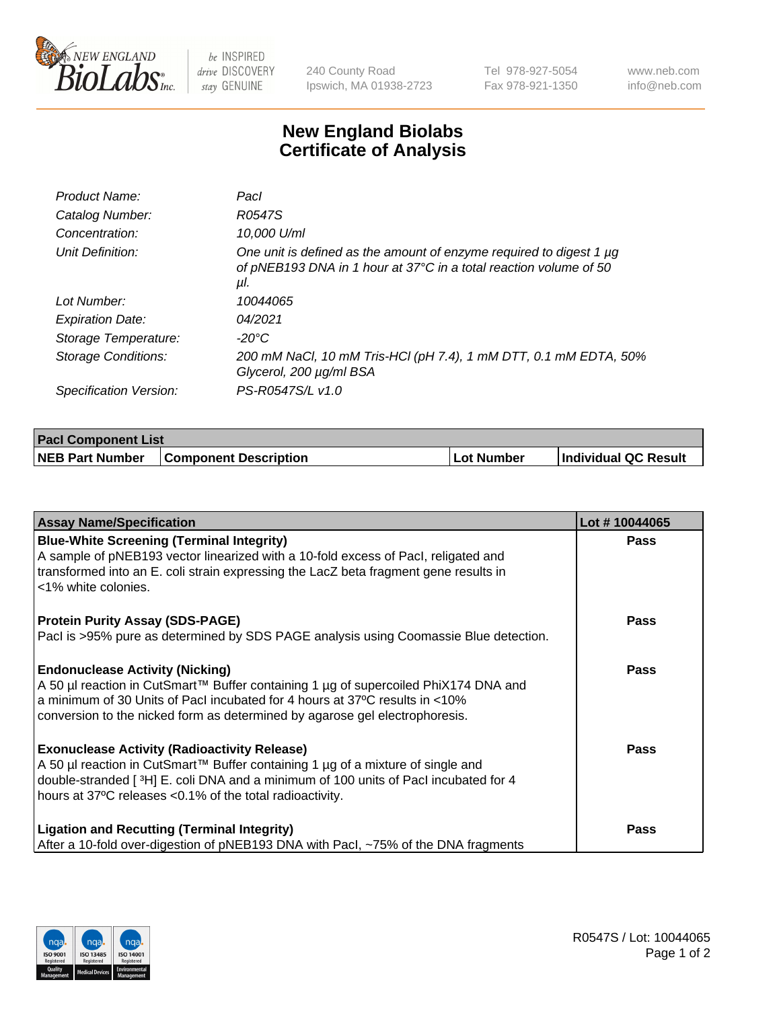

 $be$  INSPIRED drive DISCOVERY stay GENUINE

240 County Road Ipswich, MA 01938-2723 Tel 978-927-5054 Fax 978-921-1350 www.neb.com info@neb.com

## **New England Biolabs Certificate of Analysis**

| Product Name:           | Pacl                                                                                                                                                 |
|-------------------------|------------------------------------------------------------------------------------------------------------------------------------------------------|
| Catalog Number:         | R0547S                                                                                                                                               |
| Concentration:          | 10,000 U/ml                                                                                                                                          |
| Unit Definition:        | One unit is defined as the amount of enzyme required to digest 1 $\mu$ g<br>of pNEB193 DNA in 1 hour at 37°C in a total reaction volume of 50<br>μI. |
| Lot Number:             | 10044065                                                                                                                                             |
| <b>Expiration Date:</b> | 04/2021                                                                                                                                              |
| Storage Temperature:    | $-20^{\circ}$ C                                                                                                                                      |
| Storage Conditions:     | 200 mM NaCl, 10 mM Tris-HCl (pH 7.4), 1 mM DTT, 0.1 mM EDTA, 50%<br>Glycerol, 200 µg/ml BSA                                                          |
| Specification Version:  | PS-R0547S/L v1.0                                                                                                                                     |

| <b>Pacl Component List</b> |                              |            |                             |  |
|----------------------------|------------------------------|------------|-----------------------------|--|
| <b>NEB Part Number</b>     | <b>Component Description</b> | Lot Number | <b>Individual QC Result</b> |  |

| <b>Assay Name/Specification</b>                                                                                                                                                                                                                                                             | Lot #10044065 |
|---------------------------------------------------------------------------------------------------------------------------------------------------------------------------------------------------------------------------------------------------------------------------------------------|---------------|
| <b>Blue-White Screening (Terminal Integrity)</b><br>A sample of pNEB193 vector linearized with a 10-fold excess of Pacl, religated and<br>transformed into an E. coli strain expressing the LacZ beta fragment gene results in<br><1% white colonies.                                       | <b>Pass</b>   |
| <b>Protein Purity Assay (SDS-PAGE)</b><br>PacI is >95% pure as determined by SDS PAGE analysis using Coomassie Blue detection.                                                                                                                                                              | <b>Pass</b>   |
| <b>Endonuclease Activity (Nicking)</b><br>A 50 µl reaction in CutSmart™ Buffer containing 1 µg of supercoiled PhiX174 DNA and<br>a minimum of 30 Units of Pacl incubated for 4 hours at 37°C results in <10%<br>conversion to the nicked form as determined by agarose gel electrophoresis. | <b>Pass</b>   |
| <b>Exonuclease Activity (Radioactivity Release)</b><br>A 50 µl reaction in CutSmart™ Buffer containing 1 µg of a mixture of single and<br>double-stranded [3H] E. coli DNA and a minimum of 100 units of Pacl incubated for 4<br>hours at 37°C releases <0.1% of the total radioactivity.   | Pass          |
| <b>Ligation and Recutting (Terminal Integrity)</b><br>After a 10-fold over-digestion of pNEB193 DNA with Pacl, ~75% of the DNA fragments                                                                                                                                                    | <b>Pass</b>   |